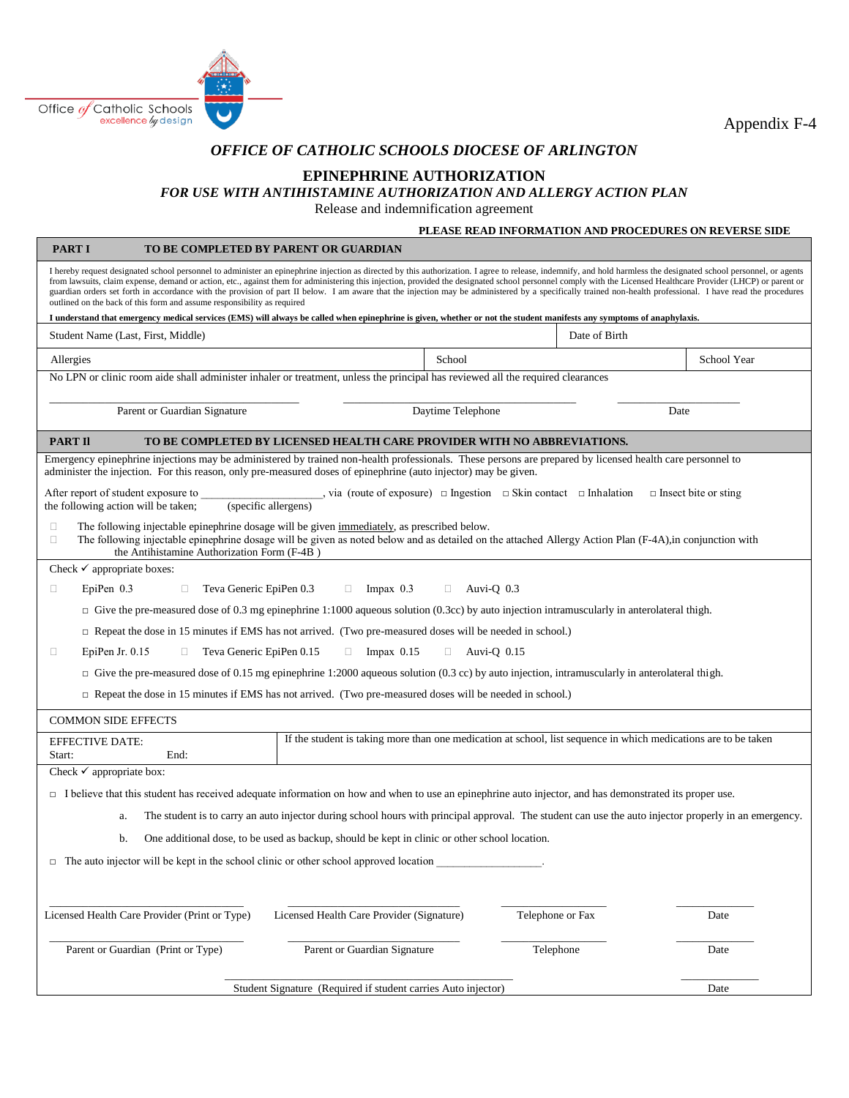

**PART I TO BE COMPLETED BY PARENT OR GUARDIAN** 

Appendix F-4

## *OFFICE OF CATHOLIC SCHOOLS DIOCESE OF ARLINGTON*

### **EPINEPHRINE AUTHORIZATION**

# *FOR USE WITH ANTIHISTAMINE AUTHORIZATION AND ALLERGY ACTION PLAN*

Release and indemnification agreement

#### **PLEASE READ INFORMATION AND PROCEDURES ON REVERSE SIDE**

| PART 1<br>TO BE COMPLETED BY PARENT OR GUARDIAN                                                                                                                                                                                                                                                                                                                                                                                                                                                                                                                                                                                                                                                                                                                                                                                                                                                          |                                                                                                                 |                  |             |      |  |
|----------------------------------------------------------------------------------------------------------------------------------------------------------------------------------------------------------------------------------------------------------------------------------------------------------------------------------------------------------------------------------------------------------------------------------------------------------------------------------------------------------------------------------------------------------------------------------------------------------------------------------------------------------------------------------------------------------------------------------------------------------------------------------------------------------------------------------------------------------------------------------------------------------|-----------------------------------------------------------------------------------------------------------------|------------------|-------------|------|--|
| I hereby request designated school personnel to administer an epinephrine injection as directed by this authorization. I agree to release, indemnify, and hold harmless the designated school personnel, or agents<br>from lawsuits, claim expense, demand or action, etc., against them for administering this injection, provided the designated school personnel comply with the Licensed Healthcare Provider (LHCP) or parent or<br>guardian orders set forth in accordance with the provision of part II below. I am aware that the injection may be administered by a specifically trained non-health professional. I have read the procedures<br>outlined on the back of this form and assume responsibility as required<br>I understand that emergency medical services (EMS) will always be called when epinephrine is given, whether or not the student manifests any symptoms of anaphylaxis. |                                                                                                                 |                  |             |      |  |
| Date of Birth<br>Student Name (Last, First, Middle)                                                                                                                                                                                                                                                                                                                                                                                                                                                                                                                                                                                                                                                                                                                                                                                                                                                      |                                                                                                                 |                  |             |      |  |
|                                                                                                                                                                                                                                                                                                                                                                                                                                                                                                                                                                                                                                                                                                                                                                                                                                                                                                          |                                                                                                                 |                  |             |      |  |
| Allergies                                                                                                                                                                                                                                                                                                                                                                                                                                                                                                                                                                                                                                                                                                                                                                                                                                                                                                | School                                                                                                          |                  | School Year |      |  |
| No LPN or clinic room aide shall administer inhaler or treatment, unless the principal has reviewed all the required clearances                                                                                                                                                                                                                                                                                                                                                                                                                                                                                                                                                                                                                                                                                                                                                                          |                                                                                                                 |                  |             |      |  |
| Parent or Guardian Signature                                                                                                                                                                                                                                                                                                                                                                                                                                                                                                                                                                                                                                                                                                                                                                                                                                                                             | Daytime Telephone<br>Date                                                                                       |                  |             |      |  |
| <b>PART II</b><br>TO BE COMPLETED BY LICENSED HEALTH CARE PROVIDER WITH NO ABBREVIATIONS.                                                                                                                                                                                                                                                                                                                                                                                                                                                                                                                                                                                                                                                                                                                                                                                                                |                                                                                                                 |                  |             |      |  |
| Emergency epinephrine injections may be administered by trained non-health professionals. These persons are prepared by licensed health care personnel to<br>administer the injection. For this reason, only pre-measured doses of epinephrine (auto injector) may be given.                                                                                                                                                                                                                                                                                                                                                                                                                                                                                                                                                                                                                             |                                                                                                                 |                  |             |      |  |
| , via (route of exposure) $\Box$ Ingestion $\Box$ Skin contact $\Box$ Inhalation<br>After report of student exposure to<br>$\Box$ Insect bite or sting<br>(specific allergens)<br>the following action will be taken;                                                                                                                                                                                                                                                                                                                                                                                                                                                                                                                                                                                                                                                                                    |                                                                                                                 |                  |             |      |  |
| The following injectable epinephrine dosage will be given immediately, as prescribed below.<br>□<br>The following injectable epinephrine dosage will be given as noted below and as detailed on the attached Allergy Action Plan (F-4A), in conjunction with<br>$\Box$<br>the Antihistamine Authorization Form (F-4B)                                                                                                                                                                                                                                                                                                                                                                                                                                                                                                                                                                                    |                                                                                                                 |                  |             |      |  |
| Check $\checkmark$ appropriate boxes:                                                                                                                                                                                                                                                                                                                                                                                                                                                                                                                                                                                                                                                                                                                                                                                                                                                                    |                                                                                                                 |                  |             |      |  |
| EpiPen $0.3$<br>Teva Generic EpiPen 0.3<br>$\Box$ Impax 0.3<br>$\Box$ Auvi-Q 0.3<br>$\Box$<br>□                                                                                                                                                                                                                                                                                                                                                                                                                                                                                                                                                                                                                                                                                                                                                                                                          |                                                                                                                 |                  |             |      |  |
| $\Box$ Give the pre-measured dose of 0.3 mg epinephrine 1:1000 aqueous solution (0.3cc) by auto injection intramuscularly in anterolateral thigh.                                                                                                                                                                                                                                                                                                                                                                                                                                                                                                                                                                                                                                                                                                                                                        |                                                                                                                 |                  |             |      |  |
| $\Box$ Repeat the dose in 15 minutes if EMS has not arrived. (Two pre-measured doses will be needed in school.)                                                                                                                                                                                                                                                                                                                                                                                                                                                                                                                                                                                                                                                                                                                                                                                          |                                                                                                                 |                  |             |      |  |
| Impax $0.15$<br>EpiPen Jr. $0.15$<br>Teva Generic EpiPen 0.15<br>$\Box$ Auvi-Q 0.15<br>$\Box$<br>$\Box$<br>$\Box$                                                                                                                                                                                                                                                                                                                                                                                                                                                                                                                                                                                                                                                                                                                                                                                        |                                                                                                                 |                  |             |      |  |
| $\Box$ Give the pre-measured dose of 0.15 mg epinephrine 1:2000 aqueous solution (0.3 cc) by auto injection, intramuscularly in anterolateral thigh.                                                                                                                                                                                                                                                                                                                                                                                                                                                                                                                                                                                                                                                                                                                                                     |                                                                                                                 |                  |             |      |  |
| $\Box$ Repeat the dose in 15 minutes if EMS has not arrived. (Two pre-measured doses will be needed in school.)                                                                                                                                                                                                                                                                                                                                                                                                                                                                                                                                                                                                                                                                                                                                                                                          |                                                                                                                 |                  |             |      |  |
| <b>COMMON SIDE EFFECTS</b>                                                                                                                                                                                                                                                                                                                                                                                                                                                                                                                                                                                                                                                                                                                                                                                                                                                                               |                                                                                                                 |                  |             |      |  |
| <b>EFFECTIVE DATE:</b><br>Start:<br>End:                                                                                                                                                                                                                                                                                                                                                                                                                                                                                                                                                                                                                                                                                                                                                                                                                                                                 | If the student is taking more than one medication at school, list sequence in which medications are to be taken |                  |             |      |  |
| Check $\checkmark$ appropriate box:                                                                                                                                                                                                                                                                                                                                                                                                                                                                                                                                                                                                                                                                                                                                                                                                                                                                      |                                                                                                                 |                  |             |      |  |
| $\Box$ I believe that this student has received adequate information on how and when to use an epinephrine auto injector, and has demonstrated its proper use.                                                                                                                                                                                                                                                                                                                                                                                                                                                                                                                                                                                                                                                                                                                                           |                                                                                                                 |                  |             |      |  |
| The student is to carry an auto injector during school hours with principal approval. The student can use the auto injector properly in an emergency.<br>a.                                                                                                                                                                                                                                                                                                                                                                                                                                                                                                                                                                                                                                                                                                                                              |                                                                                                                 |                  |             |      |  |
| One additional dose, to be used as backup, should be kept in clinic or other school location.<br>b.                                                                                                                                                                                                                                                                                                                                                                                                                                                                                                                                                                                                                                                                                                                                                                                                      |                                                                                                                 |                  |             |      |  |
| $\Box$ The auto injector will be kept in the school clinic or other school approved location                                                                                                                                                                                                                                                                                                                                                                                                                                                                                                                                                                                                                                                                                                                                                                                                             |                                                                                                                 |                  |             |      |  |
|                                                                                                                                                                                                                                                                                                                                                                                                                                                                                                                                                                                                                                                                                                                                                                                                                                                                                                          |                                                                                                                 |                  |             |      |  |
|                                                                                                                                                                                                                                                                                                                                                                                                                                                                                                                                                                                                                                                                                                                                                                                                                                                                                                          |                                                                                                                 |                  |             |      |  |
| Licensed Health Care Provider (Print or Type)                                                                                                                                                                                                                                                                                                                                                                                                                                                                                                                                                                                                                                                                                                                                                                                                                                                            | Licensed Health Care Provider (Signature)                                                                       | Telephone or Fax |             | Date |  |
| Parent or Guardian (Print or Type)                                                                                                                                                                                                                                                                                                                                                                                                                                                                                                                                                                                                                                                                                                                                                                                                                                                                       | Parent or Guardian Signature                                                                                    | Telephone        |             | Date |  |
|                                                                                                                                                                                                                                                                                                                                                                                                                                                                                                                                                                                                                                                                                                                                                                                                                                                                                                          | Student Signature (Required if student carries Auto injector)                                                   |                  |             | Date |  |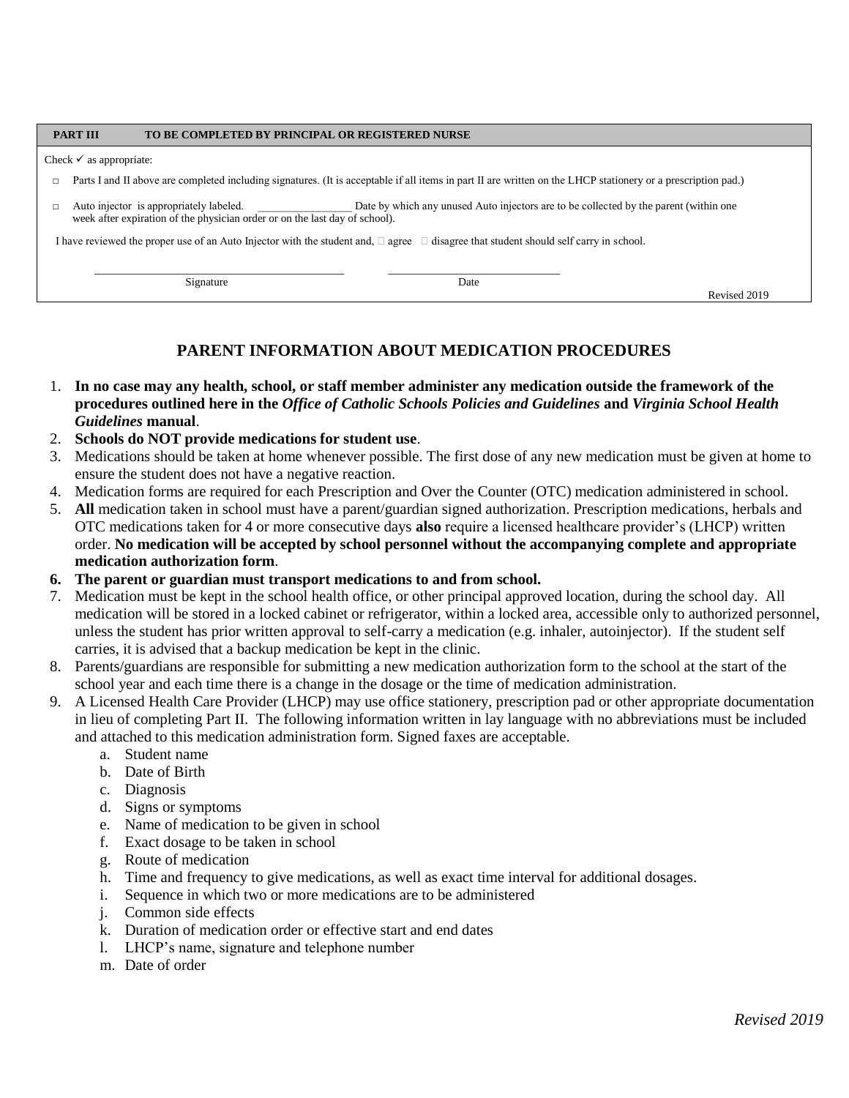#### **PART III TO BE COMPLETED BY PRINCIPAL OR REGISTERED NURSE**

#### Check  $\checkmark$  as appropriate:

- □ Parts I and II above are completed including signatures. (It is acceptable if all items in part II are written on the LHCP stationery or a prescription pad.)
- □ Auto injector is appropriately labeled. Date by which any unused Auto injectors are to be collected by the parent (within one week after expiration of the physician order or on the last day of school).

I have reviewed the proper use of an Auto Injector with the student and,  $\Box$  agree  $\Box$  disagree that student should self carry in school.

\_\_\_\_\_\_\_\_\_\_\_\_\_\_\_\_\_\_\_\_\_\_\_\_\_\_\_\_\_\_\_\_\_\_\_\_\_\_\_\_\_\_\_\_\_ \_\_\_\_\_\_\_\_\_\_\_\_\_\_\_\_\_\_\_\_\_\_\_\_\_\_\_\_\_\_\_

Signature Date

Revised 2019

# **PARENT INFORMATION ABOUT MEDICATION PROCEDURES**

- 1. **In no case may any health, school, or staff member administer any medication outside the framework of the procedures outlined here in the** *Office of Catholic Schools Policies and Guidelines* **and** *Virginia School Health Guidelines* **manual**.
- 2. **Schools do NOT provide medications for student use**.
- 3. Medications should be taken at home whenever possible. The first dose of any new medication must be given at home to ensure the student does not have a negative reaction.
- 4. Medication forms are required for each Prescription and Over the Counter (OTC) medication administered in school.
- 5. **All** medication taken in school must have a parent/guardian signed authorization. Prescription medications, herbals and OTC medications taken for 4 or more consecutive days **also** require a licensed healthcare provider's (LHCP) written order. **No medication will be accepted by school personnel without the accompanying complete and appropriate medication authorization form**.
- **6. The parent or guardian must transport medications to and from school.**
- 7. Medication must be kept in the school health office, or other principal approved location, during the school day. All medication will be stored in a locked cabinet or refrigerator, within a locked area, accessible only to authorized personnel, unless the student has prior written approval to self-carry a medication (e.g. inhaler, autoinjector). If the student self carries, it is advised that a backup medication be kept in the clinic.
- 8. Parents/guardians are responsible for submitting a new medication authorization form to the school at the start of the school year and each time there is a change in the dosage or the time of medication administration.
- 9. A Licensed Health Care Provider (LHCP) may use office stationery, prescription pad or other appropriate documentation in lieu of completing Part II. The following information written in lay language with no abbreviations must be included and attached to this medication administration form. Signed faxes are acceptable.
	- a. Student name
	- b. Date of Birth
	- c. Diagnosis
	- d. Signs or symptoms
	- e. Name of medication to be given in school
	- f. Exact dosage to be taken in school
	- g. Route of medication
	- h. Time and frequency to give medications, as well as exact time interval for additional dosages.
	- i. Sequence in which two or more medications are to be administered
	- j. Common side effects
	- k. Duration of medication order or effective start and end dates
	- l. LHCP's name, signature and telephone number
	- m. Date of order